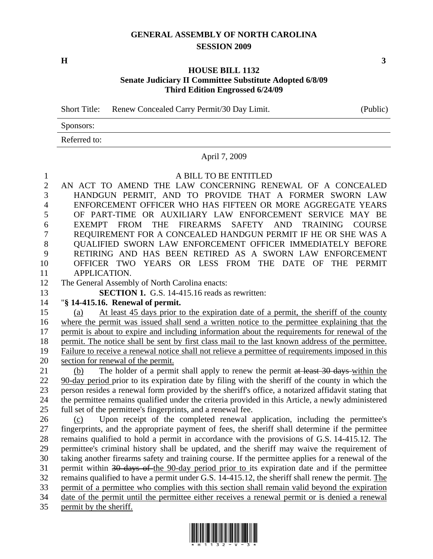## **GENERAL ASSEMBLY OF NORTH CAROLINA SESSION 2009**

 $\mathbf{H}$  3

## **HOUSE BILL 1132 Senate Judiciary II Committee Substitute Adopted 6/8/09 Third Edition Engrossed 6/24/09**

Short Title: Renew Concealed Carry Permit/30 Day Limit. (Public)

Sponsors:

Referred to:

## April 7, 2009

## 1 A BILL TO BE ENTITLED

2 AN ACT TO AMEND THE LAW CONCERNING RENEWAL OF A CONCEALED 3 HANDGUN PERMIT, AND TO PROVIDE THAT A FORMER SWORN LAW 4 ENFORCEMENT OFFICER WHO HAS FIFTEEN OR MORE AGGREGATE YEARS 5 OF PART-TIME OR AUXILIARY LAW ENFORCEMENT SERVICE MAY BE 6 EXEMPT FROM THE FIREARMS SAFETY AND TRAINING COURSE 7 REQUIREMENT FOR A CONCEALED HANDGUN PERMIT IF HE OR SHE WAS A 8 QUALIFIED SWORN LAW ENFORCEMENT OFFICER IMMEDIATELY BEFORE 9 RETIRING AND HAS BEEN RETIRED AS A SWORN LAW ENFORCEMENT 10 OFFICER TWO YEARS OR LESS FROM THE DATE OF THE PERMIT 11 APPLICATION.

12 The General Assembly of North Carolina enacts:

13 **SECTION 1.** G.S. 14-415.16 reads as rewritten:

14 "**§ 14-415.16. Renewal of permit.** 

15 (a) At least 45 days prior to the expiration date of a permit, the sheriff of the county 16 where the permit was issued shall send a written notice to the permittee explaining that the 17 permit is about to expire and including information about the requirements for renewal of the 18 permit. The notice shall be sent by first class mail to the last known address of the permittee. 19 Failure to receive a renewal notice shall not relieve a permittee of requirements imposed in this 20 section for renewal of the permit.

21 (b) The holder of a permit shall apply to renew the permit at least 30 days within the 22 90-day period prior to its expiration date by filing with the sheriff of the county in which the 23 person resides a renewal form provided by the sheriff's office, a notarized affidavit stating that 24 the permittee remains qualified under the criteria provided in this Article, a newly administered 25 full set of the permittee's fingerprints, and a renewal fee.

26 (c) Upon receipt of the completed renewal application, including the permittee's 27 fingerprints, and the appropriate payment of fees, the sheriff shall determine if the permittee 28 remains qualified to hold a permit in accordance with the provisions of G.S. 14-415.12. The 29 permittee's criminal history shall be updated, and the sheriff may waive the requirement of 30 taking another firearms safety and training course. If the permittee applies for a renewal of the 31 permit within 30 days of the 90-day period prior to its expiration date and if the permittee 32 remains qualified to have a permit under G.S. 14-415.12, the sheriff shall renew the permit. The 33 permit of a permittee who complies with this section shall remain valid beyond the expiration 34 date of the permit until the permittee either receives a renewal permit or is denied a renewal 35 permit by the sheriff.